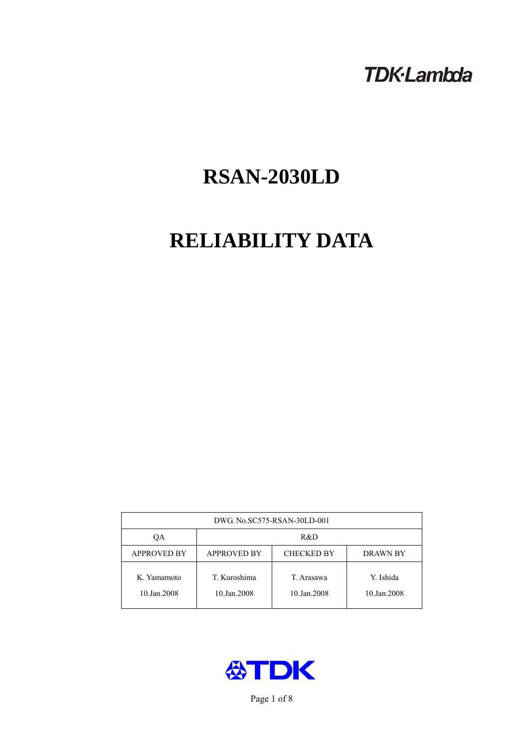# **TDK-Lambda**

# **RSAN-2030LD**

# **RELIABILITY DATA**

| DWG. No.SC575-RSAN-30LD-001 |                                                     |                           |                          |  |  |  |
|-----------------------------|-----------------------------------------------------|---------------------------|--------------------------|--|--|--|
| ОA                          | R&D                                                 |                           |                          |  |  |  |
| <b>APPROVED BY</b>          | <b>APPROVED BY</b><br><b>CHECKED BY</b><br>DRAWN BY |                           |                          |  |  |  |
| K. Yamamoto<br>10.Jan.2008  | T. Kuroshima<br>10.Jan.2008                         | T. Arasawa<br>10.Jan.2008 | Y. Ishida<br>10.Jan.2008 |  |  |  |



Page 1 of 8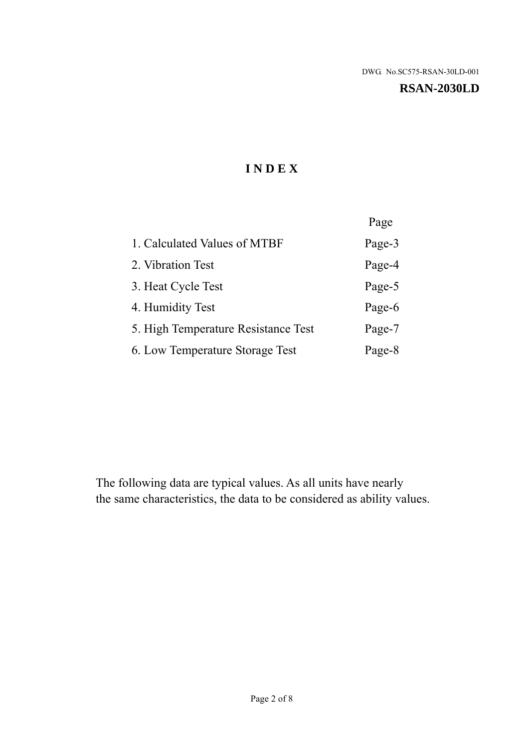#### **RSAN-2030LD**

# **I N D E X**

|                                     | Page   |
|-------------------------------------|--------|
| 1. Calculated Values of MTBF        | Page-3 |
| 2. Vibration Test                   | Page-4 |
| 3. Heat Cycle Test                  | Page-5 |
| 4. Humidity Test                    | Page-6 |
| 5. High Temperature Resistance Test | Page-7 |
| 6. Low Temperature Storage Test     | Page-8 |

The following data are typical values. As all units have nearly the same characteristics, the data to be considered as ability values.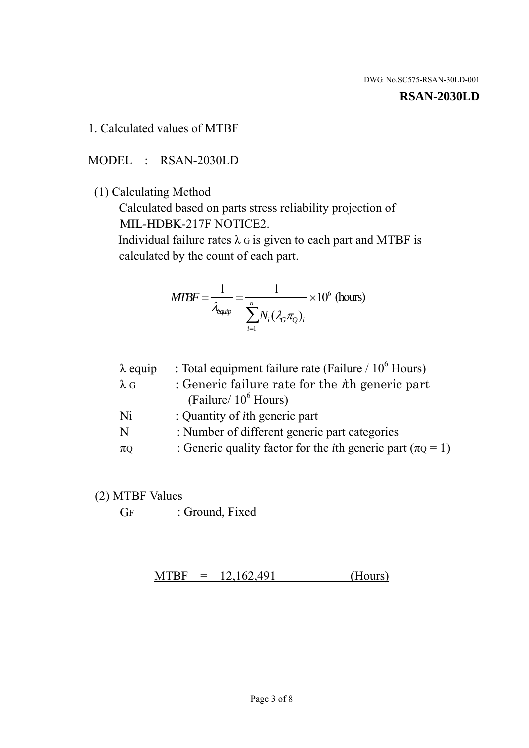#### **RSAN-2030LD**

#### 1. Calculated values of MTBF

MODEL : RSAN-2030LD

(1) Calculating Method

 Calculated based on parts stress reliability projection of MIL-HDBK-217F NOTICE2.

Individual failure rates  $\lambda$  G is given to each part and MTBF is calculated by the count of each part.

$$
MIBF = \frac{1}{\lambda_{\text{equip}}} = \frac{1}{\sum_{i=1}^{n} N_i (\lambda_G \pi_Q)_i} \times 10^6 \text{ (hours)}
$$

| $\lambda$ equip | : Total equipment failure rate (Failure $/ 10^6$ Hours)                   |
|-----------------|---------------------------------------------------------------------------|
| $\lambda$ G     | : Generic failure rate for the $\hbar$ generic part                       |
|                 | (Failure/ $10^6$ Hours)                                                   |
| Ni              | : Quantity of <i>i</i> th generic part                                    |
| N               | : Number of different generic part categories                             |
| $\pi$ Q         | : Generic quality factor for the <i>i</i> th generic part ( $\pi Q = 1$ ) |

- (2) MTBF Values
	- GF : Ground, Fixed

 $MTBF = 12,162,491$  (Hours)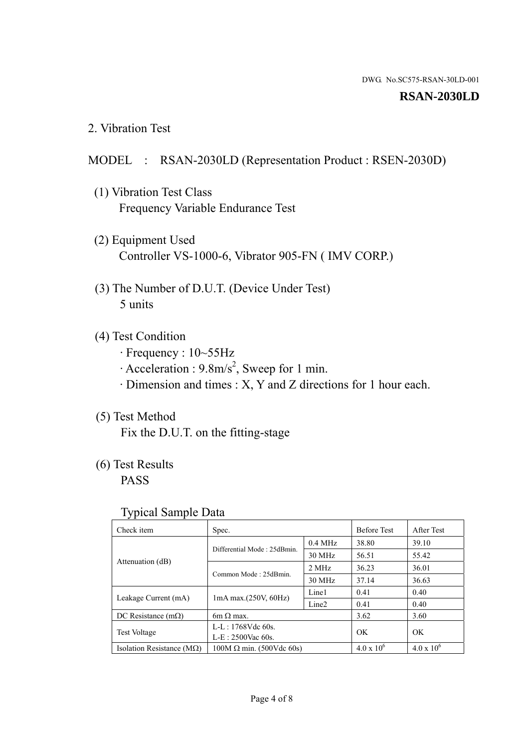#### **RSAN-2030LD**

2. Vibration Test

### MODEL : RSAN-2030LD (Representation Product : RSEN-2030D)

- (1) Vibration Test Class Frequency Variable Endurance Test
- (2) Equipment Used Controller VS-1000-6, Vibrator 905-FN ( IMV CORP.)
- (3) The Number of D.U.T. (Device Under Test) 5 units
- (4) Test Condition
	- · Frequency : 10~55Hz
	- $\cdot$  Acceleration : 9.8m/s<sup>2</sup>, Sweep for 1 min.
	- · Dimension and times : X, Y and Z directions for 1 hour each.

# (5) Test Method

Fix the D.U.T. on the fitting-stage

# (6) Test Results

PASS

#### Typical Sample Data

| Check item                         | Spec.                                                   |           | <b>Before Test</b>  | After Test          |
|------------------------------------|---------------------------------------------------------|-----------|---------------------|---------------------|
| Attenuation (dB)                   | Differential Mode: 25dBmin.                             | $0.4$ MHz | 38.80               | 39.10               |
|                                    |                                                         | 30 MHz    | 56.51               | 55.42               |
|                                    | Common Mode: 25dBmin.                                   | 2 MHz     | 36.23               | 36.01               |
|                                    |                                                         | 30 MHz    | 37.14               | 36.63               |
| Leakage Current (mA)               | Line1<br>$1mA$ max. $(250V, 60Hz)$<br>Line <sub>2</sub> |           | 0.41                | 0.40                |
|                                    |                                                         |           | 0.41                | 0.40                |
| DC Resistance $(m\Omega)$          | 6m $\Omega$ max.                                        |           | 3.62                | 3.60                |
| <b>Test Voltage</b>                | $L-L: 1768Vdc$ 60s.                                     |           | OK<br><b>OK</b>     |                     |
|                                    | $L-E$ : 2500Vac 60s.                                    |           |                     |                     |
| Isolation Resistance ( $M\Omega$ ) | $100M \Omega$ min. (500Vdc 60s)                         |           | $4.0 \times 10^{6}$ | $4.0 \times 10^{6}$ |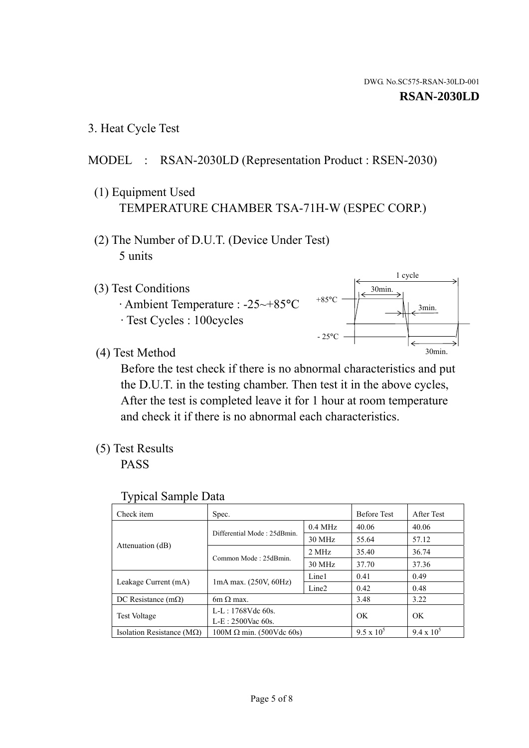1 cycle

30min.

3min.

30min.

3. Heat Cycle Test

# MODEL : RSAN-2030LD (Representation Product : RSEN-2030)

- (1) Equipment Used TEMPERATURE CHAMBER TSA-71H-W (ESPEC CORP.)
- (2) The Number of D.U.T. (Device Under Test) 5 units
- (3) Test Conditions
	- · Ambient Temperature : -25~+85°C · Test Cycles : 100cycles
- (4) Test Method

 Before the test check if there is no abnormal characteristics and put the D.U.T. in the testing chamber. Then test it in the above cycles, After the test is completed leave it for 1 hour at room temperature and check it if there is no abnormal each characteristics.

 $+85$ °C

 $-25$ °C

(5) Test Results

PASS

| <b>Typical Sample Data</b> |  |
|----------------------------|--|
|                            |  |

| Check item                         | Spec.                           |                   | <b>Before Test</b> | After Test        |
|------------------------------------|---------------------------------|-------------------|--------------------|-------------------|
|                                    | Differential Mode: 25dBmin.     | $0.4$ MHz         | 40.06              | 40.06             |
|                                    |                                 | 30 MHz            | 55.64              | 57.12             |
| Attenuation (dB)                   | Common Mode: 25dBmin.           | 2 MHz             | 35.40              | 36.74             |
|                                    |                                 | 30 MHz            | 37.70              | 37.36             |
| Leakage Current (mA)               | $1mA$ max. $(250V, 60Hz)$       | Line1             | 0.41               | 0.49              |
|                                    |                                 | Line <sub>2</sub> | 0.42               | 0.48              |
| DC Resistance $(m\Omega)$          | 6m $\Omega$ max.                |                   | 3.48               | 3.22              |
| <b>Test Voltage</b>                | $L-L: 1768Vdc$ 60s.             |                   | OK                 | OK                |
|                                    | $L-E: 2500$ Vac 60s.            |                   |                    |                   |
| Isolation Resistance ( $M\Omega$ ) | $100M \Omega$ min. (500Vdc 60s) |                   | $9.5 \times 10^5$  | $9.4 \times 10^5$ |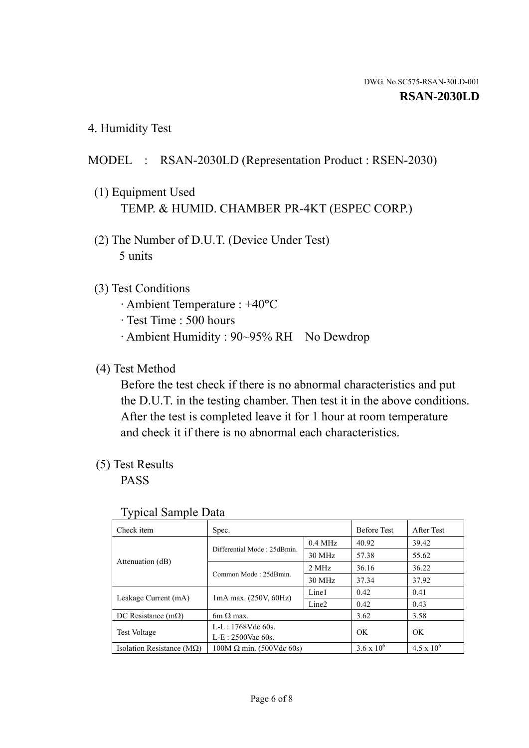4. Humidity Test

## MODEL : RSAN-2030LD (Representation Product : RSEN-2030)

- (1) Equipment Used TEMP. & HUMID. CHAMBER PR-4KT (ESPEC CORP.)
- (2) The Number of D.U.T. (Device Under Test) 5 units

## (3) Test Conditions

- · Ambient Temperature : +40°C
- · Test Time : 500 hours
- · Ambient Humidity : 90~95% RH No Dewdrop

## (4) Test Method

 Before the test check if there is no abnormal characteristics and put the D.U.T. in the testing chamber. Then test it in the above conditions. After the test is completed leave it for 1 hour at room temperature and check it if there is no abnormal each characteristics.

## (5) Test Results

PASS

| ╯┸                                 |                                                         |           |                     |                     |
|------------------------------------|---------------------------------------------------------|-----------|---------------------|---------------------|
| Check item                         | Spec.                                                   |           | <b>Before Test</b>  | After Test          |
|                                    | Differential Mode: 25dBmin.                             | $0.4$ MHz | 40.92               | 39.42               |
|                                    |                                                         | 30 MHz    | 57.38               | 55.62               |
| Attenuation (dB)                   | Common Mode: 25dBmin.                                   | 2 MHz     | 36.16               | 36.22               |
|                                    |                                                         | 30 MHz    | 37.34               | 37.92               |
| Leakage Current (mA)               | Line1<br>$1mA$ max. $(250V, 60Hz)$<br>Line <sub>2</sub> |           | 0.42                | 0.41                |
|                                    |                                                         |           | 0.42                | 0.43                |
| DC Resistance $(m\Omega)$          | $6m \Omega$ max.                                        |           | 3.62                | 3.58                |
| <b>Test Voltage</b>                | $L-L: 1768Vdc$ 60s.                                     |           | OK                  | OK                  |
|                                    | $L-E: 2500$ Vac 60s.                                    |           |                     |                     |
| Isolation Resistance ( $M\Omega$ ) | $100M \Omega$ min. (500Vdc 60s)                         |           | $3.6 \times 10^{6}$ | $4.5 \times 10^{6}$ |

#### Typical Sample Data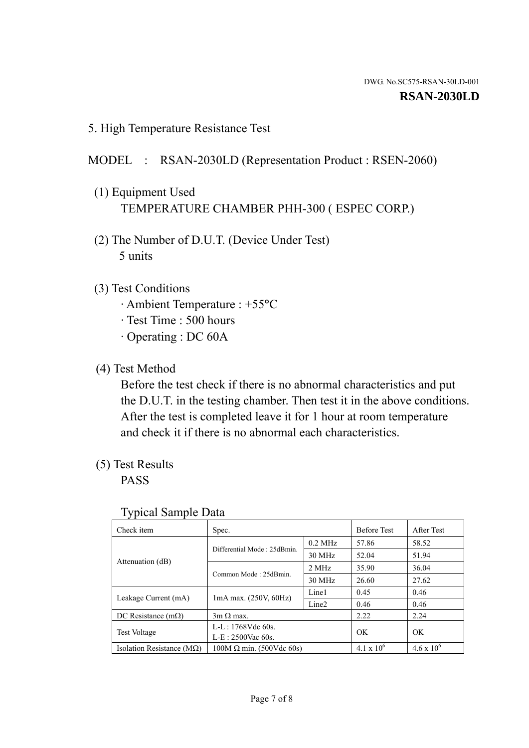5. High Temperature Resistance Test

# MODEL : RSAN-2030LD (Representation Product : RSEN-2060)

- (1) Equipment Used TEMPERATURE CHAMBER PHH-300 ( ESPEC CORP.)
- (2) The Number of D.U.T. (Device Under Test) 5 units
- (3) Test Conditions
	- · Ambient Temperature : +55°C
	- · Test Time : 500 hours
	- · Operating : DC 60A
- (4) Test Method

 Before the test check if there is no abnormal characteristics and put the D.U.T. in the testing chamber. Then test it in the above conditions. After the test is completed leave it for 1 hour at room temperature and check it if there is no abnormal each characteristics.

(5) Test Results

PASS

| J 1                                |                                                         |           |                     |                     |
|------------------------------------|---------------------------------------------------------|-----------|---------------------|---------------------|
| Check item                         | Spec.                                                   |           | <b>Before Test</b>  | After Test          |
|                                    | Differential Mode: 25dBmin.                             | $0.2$ MHz | 57.86               | 58.52               |
|                                    |                                                         | 30 MHz    | 52.04               | 51.94               |
| Attenuation (dB)                   | Common Mode: 25dBmin.                                   | 2 MHz     | 35.90               | 36.04               |
|                                    |                                                         | 30 MHz    | 26.60               | 27.62               |
| Leakage Current (mA)               | Line1<br>$1mA$ max. $(250V, 60Hz)$<br>Line <sub>2</sub> |           | 0.45                | 0.46                |
|                                    |                                                         | 0.46      | 0.46                |                     |
| DC Resistance $(m\Omega)$          | $3m \Omega$ max.                                        |           | 2.22                | 2.24                |
| <b>Test Voltage</b>                | $L-L: 1768Vdc$ 60s.                                     |           |                     |                     |
|                                    | $L-E: 2500$ Vac 60s.                                    |           | OK                  | OK                  |
| Isolation Resistance ( $M\Omega$ ) | $100M \Omega$ min. (500Vdc 60s)                         |           | $4.1 \times 10^{6}$ | $4.6 \times 10^{6}$ |

#### Typical Sample Data